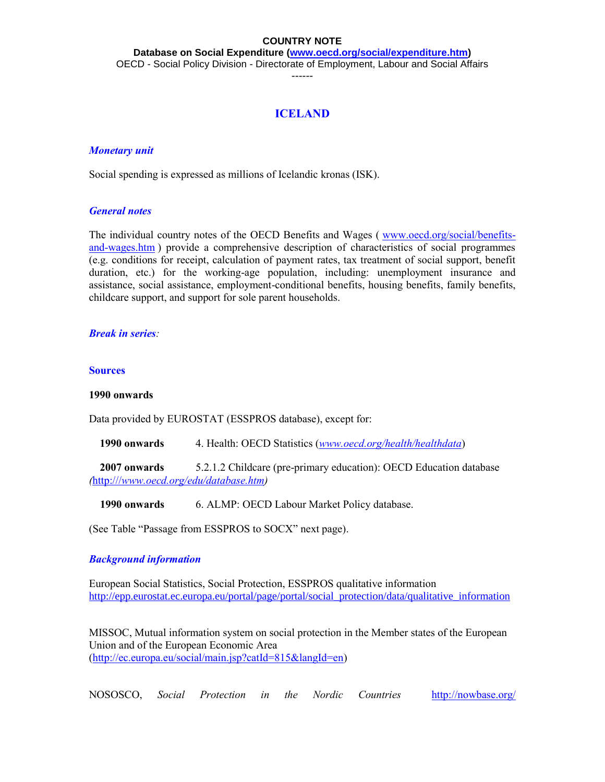**Database on Social Expenditure [\(www.oecd.org/social/expenditure.htm\)](http://www.oecd.org/social/expenditure.htm)** OECD - Social Policy Division - Directorate of Employment, Labour and Social Affairs

------

## **ICELAND**

## *Monetary unit*

Social spending is expressed as millions of Icelandic kronas (ISK).

## *General notes*

The individual country notes of the OECD Benefits and Wages ( [www.oecd.org/social/benefits](http://www.oecd.org/social/benefits-and-wages.htm)[and-wages.htm](http://www.oecd.org/social/benefits-and-wages.htm) ) provide a comprehensive description of characteristics of social programmes (e.g. conditions for receipt, calculation of payment rates, tax treatment of social support, benefit duration, etc.) for the working-age population, including: unemployment insurance and assistance, social assistance, employment-conditional benefits, housing benefits, family benefits, childcare support, and support for sole parent households.

## *Break in series:*

## **Sources**

## **1990 onwards**

Data provided by EUROSTAT (ESSPROS database), except for:

 **1990 onwards** 4. Health: OECD Statistics (*[www.oecd.org/health/healthdata](http://www.oecd.org/health/healthdata)*)

 **2007 onwards** 5.2.1.2 Childcare (pre-primary education): OECD Education database *(*[http:///](http://)*[www.oecd.org/edu/database.htm\)](http://)*

**1990 onwards** 6. ALMP: OECD Labour Market Policy database.

(See Table "Passage from ESSPROS to SOCX" next page).

## *Background information*

European Social Statistics, Social Protection, ESSPROS qualitative information [http://epp.eurostat.ec.europa.eu/portal/page/portal/social\\_protection/data/qualitative\\_information](http://epp.eurostat.ec.europa.eu/portal/page/portal/social_protection/data/qualitative_information)

MISSOC, Mutual information system on social protection in the Member states of the European Union and of the European Economic Area [\(http://ec.europa.eu/social/main.jsp?catId=815&langId=en\)](http://ec.europa.eu/social/main.jsp?catId=815&langId=en)

NOSOSCO, *Social Protection in the Nordic Countries* <http://nowbase.org/>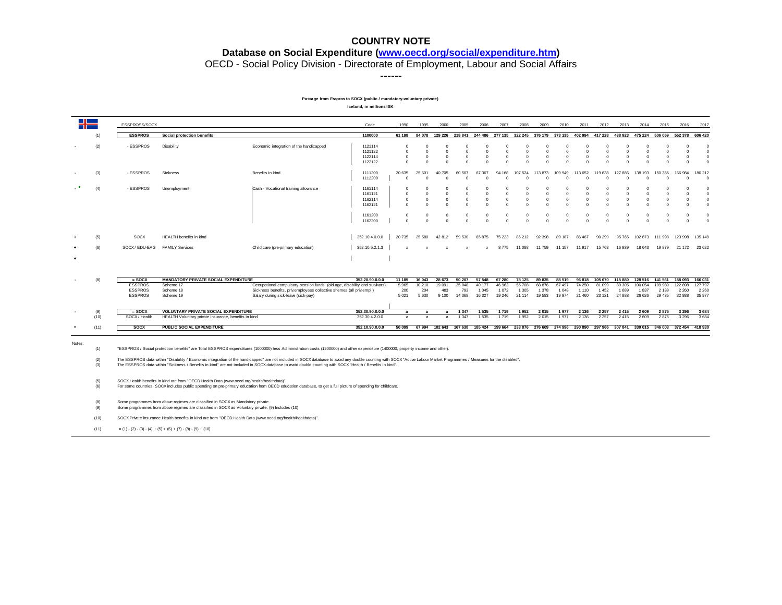#### **Database on Social Expenditure [\(www.oecd.org/social/expenditure.htm\)](http://www.oecd.org/social/expenditure.htm)**

OECD - Social Policy Division - Directorate of Employment, Labour and Social Affairs

------

#### **Passage from Esspros to SOCX (public / mandatory-voluntary private)**

**Iceland, in millions ISK**

| $\Box$   |                    | ESSPROSS/SOCX                                      |                                                                                                                                                                                                                                                                                                     |                                                                                                                                                                                                                                                                                                                                                                                                                                                                                                                                                                       | Code                                                | 1990                                                       | 1995                                            | 2000                                             | 2005                                                                                                                   | 2006                                              | 2007                                                   | 2008                                                           | 2009                                            | 2010                                           | 2011                                                          | 2012                                            | 2013                                                   | 2014                                                             | 2015                                            | 2016                                         | 2017                                                                             |
|----------|--------------------|----------------------------------------------------|-----------------------------------------------------------------------------------------------------------------------------------------------------------------------------------------------------------------------------------------------------------------------------------------------------|-----------------------------------------------------------------------------------------------------------------------------------------------------------------------------------------------------------------------------------------------------------------------------------------------------------------------------------------------------------------------------------------------------------------------------------------------------------------------------------------------------------------------------------------------------------------------|-----------------------------------------------------|------------------------------------------------------------|-------------------------------------------------|--------------------------------------------------|------------------------------------------------------------------------------------------------------------------------|---------------------------------------------------|--------------------------------------------------------|----------------------------------------------------------------|-------------------------------------------------|------------------------------------------------|---------------------------------------------------------------|-------------------------------------------------|--------------------------------------------------------|------------------------------------------------------------------|-------------------------------------------------|----------------------------------------------|----------------------------------------------------------------------------------|
|          | (1)                | <b>ESSPROS</b>                                     | Social protection benefits                                                                                                                                                                                                                                                                          |                                                                                                                                                                                                                                                                                                                                                                                                                                                                                                                                                                       | 1100000                                             | 61 198                                                     |                                                 |                                                  | 84 078 129 226 218 841 244 486 277 135 322 245 376 179 373 135 402 994 417 228 438 923 475 224 506 059 552 378 606 420 |                                                   |                                                        |                                                                |                                                 |                                                |                                                               |                                                 |                                                        |                                                                  |                                                 |                                              |                                                                                  |
|          | (2)                | - ESSPROS                                          | Disability                                                                                                                                                                                                                                                                                          | Economic integration of the handicapped                                                                                                                                                                                                                                                                                                                                                                                                                                                                                                                               | 1121114<br>1121122<br>1122114<br>1122122            | $\Omega$<br>$\Omega$<br>$\Omega$<br>$\Omega$               | O<br>$\Omega$<br>$\Omega$<br>$\Omega$           | n<br>$\Omega$<br>$\Omega$<br>$\Omega$            | $\Omega$<br>$\Omega$<br>$\Omega$<br>$\Omega$                                                                           | $\Omega$<br>$\Omega$<br>$\Omega$<br>$\Omega$      | -C<br>$\Omega$<br>$\Omega$<br>$\Omega$                 | $\Omega$<br>$\Omega$<br>$\Omega$<br>$\Omega$                   | O<br>$\Omega$<br>$\Omega$<br>$\Omega$           | n<br>$\Omega$<br>$\Omega$<br>$\Omega$          | $\Omega$<br>$\Omega$<br>$\Omega$<br>$\Omega$                  | n<br>$\Omega$<br>$\Omega$<br>$\Omega$           | $\Omega$<br>$\Omega$<br>$\Omega$<br>$\Omega$           | $\Omega$<br>$\Omega$<br>$\Omega$<br>$\Omega$                     | $\Omega$<br>$\Omega$<br>$\Omega$<br>$\Omega$    | -C<br>$\Omega$<br>$\Omega$<br>$\Omega$       | $\overline{0}$<br>$\Omega$<br>$\Omega$<br>$\overline{0}$                         |
|          | (3)                | - ESSPROS                                          | Sickness                                                                                                                                                                                                                                                                                            | Benefits in kind                                                                                                                                                                                                                                                                                                                                                                                                                                                                                                                                                      | 1111200<br>1112200                                  | 20 635<br>$\Omega$                                         | 25 601<br>$\Omega$                              | 40 70 5<br>$\Omega$                              | 60 507<br>$\Omega$                                                                                                     | 67 367<br>$\Omega$                                | 94 168<br>$\Omega$                                     | 107 524<br>$\Omega$                                            | 113873<br>$\Omega$                              | 109 949<br>$\Omega$                            | 113 652<br>$\Omega$                                           | 119 638<br>O                                    | 127 886<br>$\Omega$                                    | 138<br>193<br>$\Omega$                                           | 150 356<br>$\Omega$                             | 166 984<br>f.                                | 180 212<br>$\Omega$                                                              |
|          | (4)                | - ESSPROS                                          | Unemployment                                                                                                                                                                                                                                                                                        | Cash - Vocational training allowance                                                                                                                                                                                                                                                                                                                                                                                                                                                                                                                                  | 1161114<br>1161121<br>1162114<br>1162121<br>1161200 | $\Omega$<br>$\Omega$<br>$^{\circ}$<br>$\Omega$<br>$\Omega$ | $\Omega$<br>$\mathbf 0$<br>$\Omega$<br>$\Omega$ | $\Omega$<br>$\mathbf{0}$<br>$\Omega$<br>$\Omega$ | $\Omega$<br>$\Omega$<br>$^{\circ}$<br>$\circ$<br>$\mathbf 0$                                                           | $\Omega$<br>$\mathbf 0$<br>$\Omega$<br>$^{\circ}$ | -0<br>$\Omega$<br>$\mathbf{0}$<br>$\Omega$<br>$\Omega$ | $\Omega$<br>$\Omega$<br>$^{\circ}$<br>$\Omega$<br>$\mathbf{0}$ | $\Omega$<br>$\mathbf 0$<br>$\Omega$<br>$\Omega$ | $\Omega$<br>$^{\circ}$<br>$\Omega$<br>$\Omega$ | $\Omega$<br>$\Omega$<br>$^{\circ}$<br>$\Omega$<br>$\mathbf 0$ | $\Omega$<br>$\mathbf 0$<br>$\Omega$<br>$\Omega$ | -0<br>$\Omega$<br>$\mathbf{0}$<br>$\Omega$<br>$\Omega$ | $\Omega$<br>$\Omega$<br>$\mathbf{0}$<br>$\Omega$<br>$\mathbf{0}$ | $\Omega$<br>$\mathbf 0$<br>$\Omega$<br>$\Omega$ | $\Omega$<br>$\Omega$<br>$\Omega$<br>$\Omega$ | $\overline{0}$<br>$\overline{0}$<br>$\overline{0}$<br>$\Omega$<br>$\overline{0}$ |
|          |                    |                                                    |                                                                                                                                                                                                                                                                                                     |                                                                                                                                                                                                                                                                                                                                                                                                                                                                                                                                                                       | 1162200                                             | $\Omega$                                                   | $\Omega$                                        | $\Omega$                                         | $\overline{0}$                                                                                                         | $\Omega$                                          | $\Omega$                                               | $\Omega$                                                       | $\Omega$                                        | $\Omega$                                       | $\Omega$                                                      | $\Omega$                                        | $\Omega$                                               | $\Omega$                                                         | $\Omega$                                        | $\Omega$                                     | $\Omega$                                                                         |
|          | (5)                | SOCX                                               | HEALTH benefits in kind                                                                                                                                                                                                                                                                             |                                                                                                                                                                                                                                                                                                                                                                                                                                                                                                                                                                       | 352.10.4.0.0.0                                      | 20 735                                                     | 25 5 80                                         | 42 812                                           | 59 530                                                                                                                 | 65 875                                            | 75 223                                                 | 86 212                                                         | 92 398                                          | 89 187                                         | 86 467                                                        | 90 299                                          | 95 765                                                 | 102 873                                                          | 111 998                                         | 123 998                                      | 135 149                                                                          |
|          |                    | SOCX/EDU-EAG                                       | <b>FAMILY Services</b>                                                                                                                                                                                                                                                                              | Child care (pre-primary education)                                                                                                                                                                                                                                                                                                                                                                                                                                                                                                                                    | 352.10.5.2.1.3                                      |                                                            |                                                 |                                                  |                                                                                                                        |                                                   | 8 7 7 5                                                | 11 088                                                         | 11 759                                          | 11 157                                         | 11 917                                                        | 15 763                                          | 16 939                                                 | 18 643                                                           | 19 879                                          | 21 172                                       | 23 622                                                                           |
|          |                    |                                                    |                                                                                                                                                                                                                                                                                                     |                                                                                                                                                                                                                                                                                                                                                                                                                                                                                                                                                                       |                                                     |                                                            |                                                 |                                                  |                                                                                                                        |                                                   |                                                        |                                                                |                                                 |                                                |                                                               |                                                 |                                                        |                                                                  |                                                 |                                              |                                                                                  |
|          | (8)                | $=$ SOCX                                           | <b>MANDATORY PRIVATE SOCIAL EXPENDITURE</b>                                                                                                                                                                                                                                                         |                                                                                                                                                                                                                                                                                                                                                                                                                                                                                                                                                                       | 352.20.90.0.0.0                                     | 11 185                                                     | 16 043                                          | 28 673                                           | 50 207                                                                                                                 | 57 548                                            | 67 280                                                 | 78 125                                                         | 89 835                                          | 88 519                                         | 96 818                                                        | 105 670                                         | 115 880                                                | 128 516                                                          | 141 561                                         | 158 093                                      | 166 031                                                                          |
|          |                    | <b>ESSPROS</b><br><b>ESSPROS</b><br><b>ESSPROS</b> | Scheme 17<br>Scheme 18<br>Scheme 19                                                                                                                                                                                                                                                                 | Occupational compulsory pension funds (old age, disability and survivors)<br>Sickness benefits, priv.employees collective shemes (all priv.empl.)<br>Salary during sick-leave (sick-pay)                                                                                                                                                                                                                                                                                                                                                                              |                                                     | 5 9 6 5<br>200<br>5 0 21                                   | 10 210<br>204<br>5 6 3 0                        | 19 091<br>483<br>9 1 0 0                         | 35 048<br>793<br>14 3 68                                                                                               | 40 177<br>1 0 4 5<br>16 327                       | 46 963<br>1 0 7 2<br>19 24 6                           | 55 708<br>1 3 0 5<br>21 114                                    | 68 876<br>1 3 7 8<br>19583                      | 67 497<br>1 0 4 8<br>19 974                    | 74 250<br>1 1 1 0<br>21 460                                   | 81 099<br>1 4 5 2<br>23 121                     | 89 30 5<br>1689<br>24 8 88                             | 100 054<br>1837<br>26 6 26                                       | 109 989<br>2 1 3 8<br>29 4 35                   | 122 898<br>2 2 6 0<br>32 938                 | 127 797<br>2 2 6 0<br>35 977                                                     |
|          |                    |                                                    |                                                                                                                                                                                                                                                                                                     |                                                                                                                                                                                                                                                                                                                                                                                                                                                                                                                                                                       |                                                     |                                                            |                                                 |                                                  |                                                                                                                        |                                                   |                                                        |                                                                |                                                 |                                                |                                                               |                                                 |                                                        |                                                                  |                                                 |                                              |                                                                                  |
|          |                    |                                                    |                                                                                                                                                                                                                                                                                                     |                                                                                                                                                                                                                                                                                                                                                                                                                                                                                                                                                                       |                                                     |                                                            |                                                 |                                                  |                                                                                                                        |                                                   |                                                        |                                                                |                                                 |                                                |                                                               |                                                 |                                                        |                                                                  |                                                 |                                              |                                                                                  |
|          | (9)<br>(10)        | $=$ SOCX<br>SOCX / Health                          | <b>VOLUNTARY PRIVATE SOCIAL EXPENDITURE</b><br>HEALTH Voluntary private insurance, benefits in kind                                                                                                                                                                                                 |                                                                                                                                                                                                                                                                                                                                                                                                                                                                                                                                                                       | 352.30.90.0.0.0<br>352.30.4.2.0.0                   | $\overline{a}$<br>a                                        | $\overline{a}$<br>$\overline{a}$                | $\mathbf{a}$<br>$\mathbf{a}$                     | 1 3 4 7<br>1 3 4 7                                                                                                     | 1 5 3 5<br>1535                                   | 1 7 1 9<br>1719                                        | 1952<br>1952                                                   | 2 0 1 5<br>2 0 1 5                              | 1977<br>1977                                   | 2 1 3 6<br>2 1 3 6                                            | 2 2 5 7<br>2 2 5 7                              | 2415<br>2415                                           | 2 609<br>2 6 0 9                                                 | 2875<br>2875                                    | 3 2 9 6<br>3 2 9 6                           | 3 6 8 4<br>3 6 8 4                                                               |
| $\equiv$ | (11)               | <b>SOCX</b>                                        | PUBLIC SOCIAL EXPENDITURE                                                                                                                                                                                                                                                                           |                                                                                                                                                                                                                                                                                                                                                                                                                                                                                                                                                                       | 352.10.90.0.0.0                                     | 50 099                                                     |                                                 |                                                  | 67 994 102 643 167 638 185 424 199 664 233 876 276 609 274 996 290 890 297 966                                         |                                                   |                                                        |                                                                |                                                 |                                                |                                                               |                                                 | 307841                                                 |                                                                  | 330 015 346 003 372 454                         |                                              | 418 930                                                                          |
| Notes:   | (1)<br>(2)<br>(3)  |                                                    |                                                                                                                                                                                                                                                                                                     | "ESSPROS / Social protection benefits" are Total ESSPROS expenditures (1000000) less Adiministration costs (1200000) and other expenditure (1400000, property income and other).<br>The ESSPROS data within "Disability / Economic integration of the handicapped" are not included in SOCX database to avoid any double counting with SOCX "Active Labour Market Programmes / Measures for the disabled".<br>The ESSPROS data within "Sickness / Benefits in kind" are not included in SOCX database to avoid double counting with SOCX "Health / Benefits in kind". |                                                     |                                                            |                                                 |                                                  |                                                                                                                        |                                                   |                                                        |                                                                |                                                 |                                                |                                                               |                                                 |                                                        |                                                                  |                                                 |                                              |                                                                                  |
|          | (5)<br>(6)         |                                                    | SOCX Health benefits in kind are from "OECD Health Data (www.oecd.org/health/healthdata)".                                                                                                                                                                                                          | For some countries, SOCX includes public spending on pre-primary education from OECD education database, to get a full picture of spending for childcare.                                                                                                                                                                                                                                                                                                                                                                                                             |                                                     |                                                            |                                                 |                                                  |                                                                                                                        |                                                   |                                                        |                                                                |                                                 |                                                |                                                               |                                                 |                                                        |                                                                  |                                                 |                                              |                                                                                  |
|          | (8)<br>(9)<br>(10) |                                                    | Some programmes from above regimes are classified in SOCX as Mandatory private<br>Some programmes from above regimes are classified in SOCX as Voluntary private. (9) Includes (10)<br>SOCX Private insurance Health benefits in kind are from "OECD Health Data (www.oecd.org/health/healthdata)". |                                                                                                                                                                                                                                                                                                                                                                                                                                                                                                                                                                       |                                                     |                                                            |                                                 |                                                  |                                                                                                                        |                                                   |                                                        |                                                                |                                                 |                                                |                                                               |                                                 |                                                        |                                                                  |                                                 |                                              |                                                                                  |

(11)  $=(1)-(2)-(3)-(4)+(5)+(6)+(7)-(8)-(9)+(10)$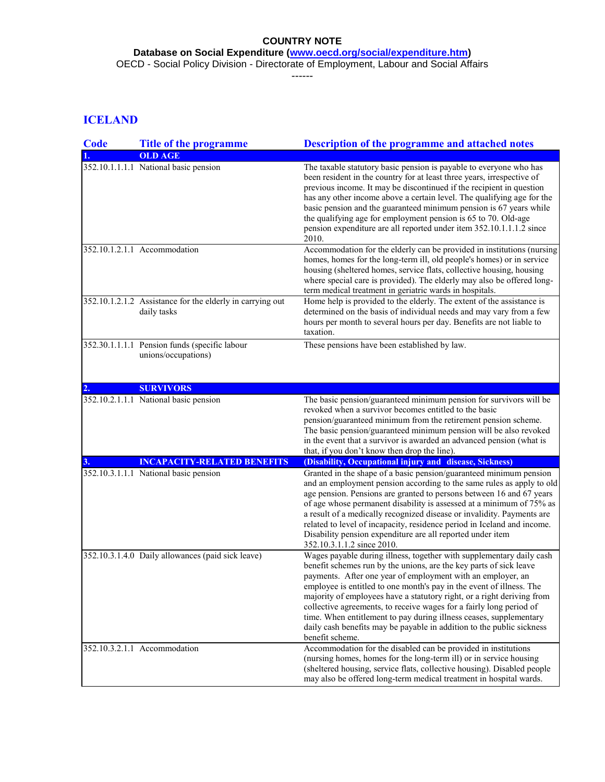**Database on Social Expenditure [\(www.oecd.org/social/expenditure.htm\)](http://www.oecd.org/social/expenditure.htm)**

OECD - Social Policy Division - Directorate of Employment, Labour and Social Affairs

------

# **ICELAND**

| <b>Code</b> | <b>Title of the programme</b>                                            | <b>Description of the programme and attached notes</b>                                                                                                                                                                                                                                                                                                                                                                                                                                                                                                                                               |
|-------------|--------------------------------------------------------------------------|------------------------------------------------------------------------------------------------------------------------------------------------------------------------------------------------------------------------------------------------------------------------------------------------------------------------------------------------------------------------------------------------------------------------------------------------------------------------------------------------------------------------------------------------------------------------------------------------------|
|             | <b>OLD AGE</b>                                                           |                                                                                                                                                                                                                                                                                                                                                                                                                                                                                                                                                                                                      |
|             | 352.10.1.1.1.1 National basic pension                                    | The taxable statutory basic pension is payable to everyone who has<br>been resident in the country for at least three years, irrespective of<br>previous income. It may be discontinued if the recipient in question<br>has any other income above a certain level. The qualifying age for the<br>basic pension and the guaranteed minimum pension is 67 years while<br>the qualifying age for employment pension is 65 to 70. Old-age<br>pension expenditure are all reported under item 352.10.1.1.1.2 since<br>2010.                                                                              |
|             | 352.10.1.2.1.1 Accommodation                                             | Accommodation for the elderly can be provided in institutions (nursing<br>homes, homes for the long-term ill, old people's homes) or in service<br>housing (sheltered homes, service flats, collective housing, housing<br>where special care is provided). The elderly may also be offered long-<br>term medical treatment in geriatric wards in hospitals.                                                                                                                                                                                                                                         |
|             | 352.10.1.2.1.2 Assistance for the elderly in carrying out<br>daily tasks | Home help is provided to the elderly. The extent of the assistance is<br>determined on the basis of individual needs and may vary from a few<br>hours per month to several hours per day. Benefits are not liable to<br>taxation.                                                                                                                                                                                                                                                                                                                                                                    |
|             | 352.30.1.1.1.1 Pension funds (specific labour<br>unions/occupations)     | These pensions have been established by law.                                                                                                                                                                                                                                                                                                                                                                                                                                                                                                                                                         |
| 2.          | <b>SURVIVORS</b>                                                         |                                                                                                                                                                                                                                                                                                                                                                                                                                                                                                                                                                                                      |
|             | 352.10.2.1.1.1 National basic pension                                    | The basic pension/guaranteed minimum pension for survivors will be<br>revoked when a survivor becomes entitled to the basic<br>pension/guaranteed minimum from the retirement pension scheme.<br>The basic pension/guaranteed minimum pension will be also revoked<br>in the event that a survivor is awarded an advanced pension (what is<br>that, if you don't know then drop the line).                                                                                                                                                                                                           |
|             | <b>INCAPACITY-RELATED BENEFITS</b>                                       | (Disability, Occupational injury and disease, Sickness)                                                                                                                                                                                                                                                                                                                                                                                                                                                                                                                                              |
|             | 352.10.3.1.1.1 National basic pension                                    | Granted in the shape of a basic pension/guaranteed minimum pension<br>and an employment pension according to the same rules as apply to old<br>age pension. Pensions are granted to persons between 16 and 67 years<br>of age whose permanent disability is assessed at a minimum of 75% as<br>a result of a medically recognized disease or invalidity. Payments are<br>related to level of incapacity, residence period in Iceland and income.<br>Disability pension expenditure are all reported under item<br>352.10.3.1.1.2 since 2010.                                                         |
|             | 352.10.3.1.4.0 Daily allowances (paid sick leave)                        | Wages payable during illness, together with supplementary daily cash<br>benefit schemes run by the unions, are the key parts of sick leave<br>payments. After one year of employment with an employer, an<br>employee is entitled to one month's pay in the event of illness. The<br>majority of employees have a statutory right, or a right deriving from<br>collective agreements, to receive wages for a fairly long period of<br>time. When entitlement to pay during illness ceases, supplementary<br>daily cash benefits may be payable in addition to the public sickness<br>benefit scheme. |
|             | 352.10.3.2.1.1 Accommodation                                             | Accommodation for the disabled can be provided in institutions<br>(nursing homes, homes for the long-term ill) or in service housing<br>(sheltered housing, service flats, collective housing). Disabled people<br>may also be offered long-term medical treatment in hospital wards.                                                                                                                                                                                                                                                                                                                |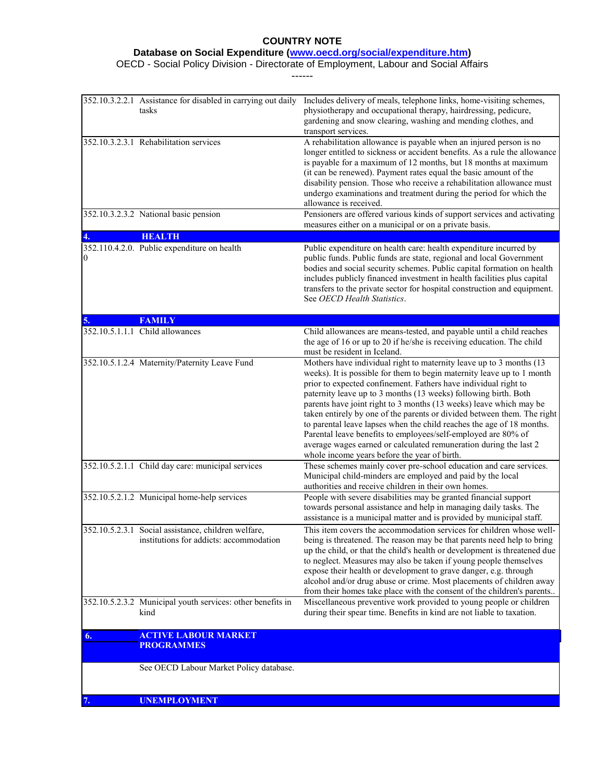### **Database on Social Expenditure [\(www.oecd.org/social/expenditure.htm\)](http://www.oecd.org/social/expenditure.htm)**

OECD - Social Policy Division - Directorate of Employment, Labour and Social Affairs

------

|               | 352.10.3.2.2.1 Assistance for disabled in carrying out daily<br>tasks                          | Includes delivery of meals, telephone links, home-visiting schemes,<br>physiotherapy and occupational therapy, hairdressing, pedicure,<br>gardening and snow clearing, washing and mending clothes, and                                                                                                                                                                                                                                                                                                                                                                                                                                                                                              |
|---------------|------------------------------------------------------------------------------------------------|------------------------------------------------------------------------------------------------------------------------------------------------------------------------------------------------------------------------------------------------------------------------------------------------------------------------------------------------------------------------------------------------------------------------------------------------------------------------------------------------------------------------------------------------------------------------------------------------------------------------------------------------------------------------------------------------------|
|               | 352.10.3.2.3.1 Rehabilitation services                                                         | transport services.<br>A rehabilitation allowance is payable when an injured person is no<br>longer entitled to sickness or accident benefits. As a rule the allowance<br>is payable for a maximum of 12 months, but 18 months at maximum<br>(it can be renewed). Payment rates equal the basic amount of the<br>disability pension. Those who receive a rehabilitation allowance must<br>undergo examinations and treatment during the period for which the<br>allowance is received.                                                                                                                                                                                                               |
|               | 352.10.3.2.3.2 National basic pension                                                          | Pensioners are offered various kinds of support services and activating<br>measures either on a municipal or on a private basis.                                                                                                                                                                                                                                                                                                                                                                                                                                                                                                                                                                     |
|               | <b>HEALTH</b>                                                                                  |                                                                                                                                                                                                                                                                                                                                                                                                                                                                                                                                                                                                                                                                                                      |
| $\theta$      | 352.110.4.2.0. Public expenditure on health                                                    | Public expenditure on health care: health expenditure incurred by<br>public funds. Public funds are state, regional and local Government<br>bodies and social security schemes. Public capital formation on health<br>includes publicly financed investment in health facilities plus capital<br>transfers to the private sector for hospital construction and equipment.<br>See OECD Health Statistics.                                                                                                                                                                                                                                                                                             |
| 5.            | <b>FAMILY</b>                                                                                  |                                                                                                                                                                                                                                                                                                                                                                                                                                                                                                                                                                                                                                                                                                      |
|               | 352.10.5.1.1.1 Child allowances                                                                | Child allowances are means-tested, and payable until a child reaches<br>the age of 16 or up to 20 if he/she is receiving education. The child<br>must be resident in Iceland.                                                                                                                                                                                                                                                                                                                                                                                                                                                                                                                        |
|               | 352.10.5.1.2.4 Maternity/Paternity Leave Fund                                                  | Mothers have individual right to maternity leave up to 3 months (13)<br>weeks). It is possible for them to begin maternity leave up to 1 month<br>prior to expected confinement. Fathers have individual right to<br>paternity leave up to 3 months (13 weeks) following birth. Both<br>parents have joint right to 3 months (13 weeks) leave which may be<br>taken entirely by one of the parents or divided between them. The right<br>to parental leave lapses when the child reaches the age of 18 months.<br>Parental leave benefits to employees/self-employed are 80% of<br>average wages earned or calculated remuneration during the last 2<br>whole income years before the year of birth. |
|               | 352.10.5.2.1.1 Child day care: municipal services                                              | These schemes mainly cover pre-school education and care services.<br>Municipal child-minders are employed and paid by the local<br>authorities and receive children in their own homes.                                                                                                                                                                                                                                                                                                                                                                                                                                                                                                             |
|               | 352.10.5.2.1.2 Municipal home-help services                                                    | People with severe disabilities may be granted financial support<br>towards personal assistance and help in managing daily tasks. The<br>assistance is a municipal matter and is provided by municipal staff.                                                                                                                                                                                                                                                                                                                                                                                                                                                                                        |
|               | 352.10.5.2.3.1 Social assistance, children welfare,<br>institutions for addicts: accommodation | This item covers the accommodation services for children whose well-<br>being is threatened. The reason may be that parents need help to bring<br>up the child, or that the child's health or development is threatened due<br>to neglect. Measures may also be taken if young people themselves<br>expose their health or development to grave danger, e.g. through<br>alcohol and/or drug abuse or crime. Most placements of children away<br>from their homes take place with the consent of the children's parents                                                                                                                                                                               |
|               | 352.10.5.2.3.2 Municipal youth services: other benefits in<br>kind                             | Miscellaneous preventive work provided to young people or children<br>during their spear time. Benefits in kind are not liable to taxation.                                                                                                                                                                                                                                                                                                                                                                                                                                                                                                                                                          |
| <sup>6.</sup> | <b>ACTIVE LABOUR MARKET</b><br><b>PROGRAMMES</b>                                               |                                                                                                                                                                                                                                                                                                                                                                                                                                                                                                                                                                                                                                                                                                      |
|               | See OECD Labour Market Policy database.                                                        |                                                                                                                                                                                                                                                                                                                                                                                                                                                                                                                                                                                                                                                                                                      |
|               |                                                                                                |                                                                                                                                                                                                                                                                                                                                                                                                                                                                                                                                                                                                                                                                                                      |
|               | <b>UNEMPLOYMENT</b>                                                                            |                                                                                                                                                                                                                                                                                                                                                                                                                                                                                                                                                                                                                                                                                                      |